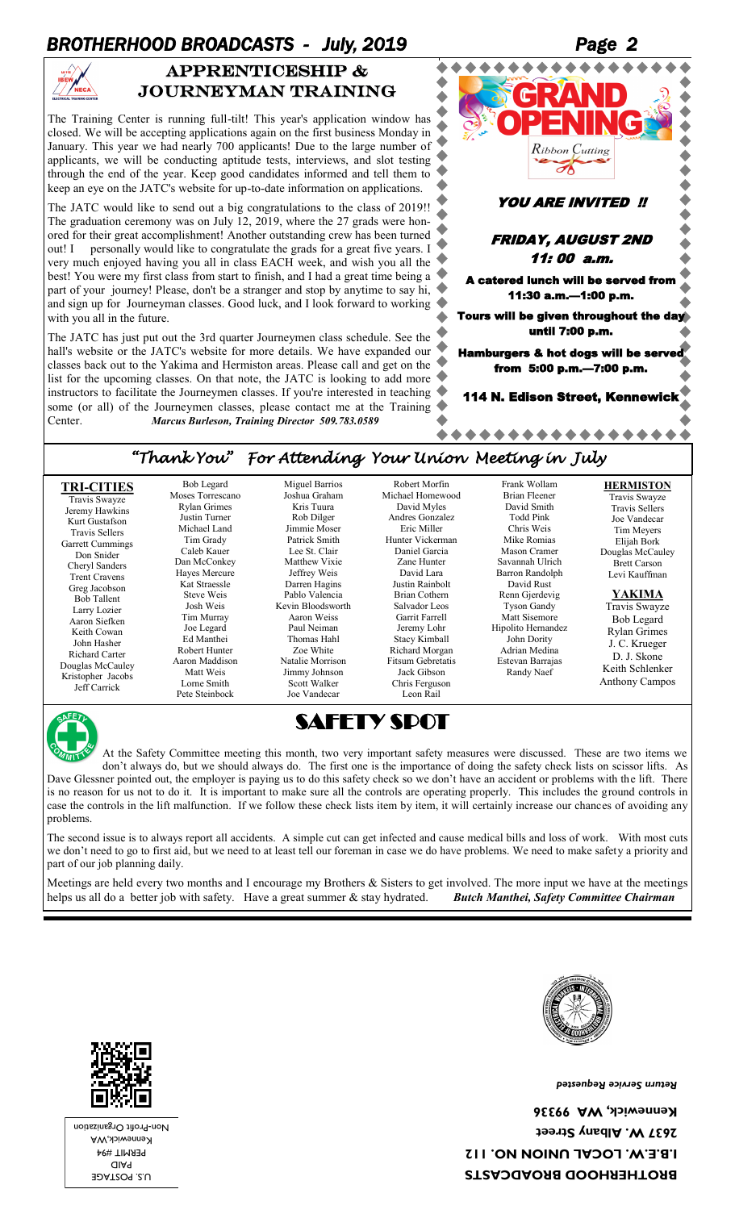## BROTHERHOOD BROADCASTS - July, 2019



#### APPRENTICESHIP & journeyman training

The Training Center is running full-tilt! This year's application window has closed. We will be accepting applications again on the first business Monday in January. This year we had nearly 700 applicants! Due to the large number of applicants, we will be conducting aptitude tests, interviews, and slot testing through the end of the year. Keep good candidates informed and tell them to keep an eye on the JATC's website for up-to-date information on applications.

The JATC would like to send out a big congratulations to the class of 2019!! The graduation ceremony was on July 12, 2019, where the 27 grads were honored for their great accomplishment! Another outstanding crew has been turned out! I personally would like to congratulate the grads for a great five years. I very much enjoyed having you all in class EACH week, and wish you all the best! You were my first class from start to finish, and I had a great time being a part of your journey! Please, don't be a stranger and stop by anytime to say hi, and sign up for Journeyman classes. Good luck, and I look forward to working with you all in the future.

The JATC has just put out the 3rd quarter Journeymen class schedule. See the hall's website or the JATC's website for more details. We have expanded our classes back out to the Yakima and Hermiston areas. Please call and get on the list for the upcoming classes. On that note, the JATC is looking to add more instructors to facilitate the Journeymen classes. If you're interested in teaching some (or all) of the Journeymen classes, please contact me at the Training Center. *Marcus Burleson, Training Director 509.783.0589*



#### *"Thank You" For Attending Your Union Meeting in July*

| <b>TRI-CITIES</b><br>Travis Swayze<br>Jeremy Hawkins<br>Kurt Gustafson<br><b>Travis Sellers</b><br>Garrett Cummings<br>Don Snider<br>Cheryl Sanders<br><b>Trent Cravens</b><br>Greg Jacobson<br><b>Bob Tallent</b><br>Larry Lozier<br>Aaron Siefken<br>Keith Cowan<br>John Hasher<br>Richard Carter<br>Douglas McCauley<br>Kristopher Jacobs<br>Jeff Carrick | Bob Legard<br>Moses Torrescano<br><b>Rylan Grimes</b><br>Justin Turner<br>Michael Land<br>Tim Grady<br>Caleb Kauer<br>Dan McConkey<br>Hayes Mercure<br>Kat Straessle<br>Steve Weis<br>Josh Weis<br>Tim Murray<br>Joe Legard<br>Ed Manthei<br>Robert Hunter<br>Aaron Maddison<br>Matt Weis<br>Lorne Smith<br>Pete Steinbock | Miguel Barrios<br>Joshua Graham<br>Kris Tuura<br>Rob Dilger<br>Jimmie Moser<br>Patrick Smith<br>Lee St. Clair<br>Matthew Vixie<br>Jeffrey Weis<br>Darren Hagins<br>Pablo Valencia<br>Kevin Bloodsworth<br>Aaron Weiss<br>Paul Neiman<br>Thomas Hahl<br>Zoe White<br>Natalie Morrison<br>Jimmy Johnson<br>Scott Walker<br>Joe Vandecar | Robert Morfin<br>Michael Homewood<br>David Myles<br>Andres Gonzalez<br>Eric Miller<br>Hunter Vickerman<br>Daniel Garcia<br>Zane Hunter<br>David Lara<br>Justin Rainbolt<br><b>Brian Cothern</b><br>Salvador Leos<br>Garrit Farrell<br>Jeremy Lohr<br><b>Stacy Kimball</b><br>Richard Morgan<br>Fitsum Gebretatis<br>Jack Gibson<br>Chris Ferguson<br>Leon Rail | Frank Wollam<br>Brian Fleener<br>David Smith<br><b>Todd Pink</b><br>Chris Weis<br>Mike Romias<br>Mason Cramer<br>Savannah Ulrich<br>Barron Randolph<br>David Rust<br>Renn Gjerdevig<br><b>Tyson Gandy</b><br>Matt Sisemore<br>Hipolito Hernandez<br>John Dority<br>Adrian Medina<br>Estevan Barrajas<br>Randy Naef | <b>HERMISTON</b><br>Travis Swayze<br><b>Travis Sellers</b><br>Joe Vandecar<br>Tim Meyers<br>Elijah Bork<br>Douglas McCauley<br><b>Brett Carson</b><br>Levi Kauffman<br>YAKIMA<br>Travis Swayze<br><b>Bob Legard</b><br><b>Rylan Grimes</b><br>J. C. Krueger<br>D. J. Skone<br>Keith Schlenker<br><b>Anthony Campos</b> |
|--------------------------------------------------------------------------------------------------------------------------------------------------------------------------------------------------------------------------------------------------------------------------------------------------------------------------------------------------------------|----------------------------------------------------------------------------------------------------------------------------------------------------------------------------------------------------------------------------------------------------------------------------------------------------------------------------|---------------------------------------------------------------------------------------------------------------------------------------------------------------------------------------------------------------------------------------------------------------------------------------------------------------------------------------|----------------------------------------------------------------------------------------------------------------------------------------------------------------------------------------------------------------------------------------------------------------------------------------------------------------------------------------------------------------|--------------------------------------------------------------------------------------------------------------------------------------------------------------------------------------------------------------------------------------------------------------------------------------------------------------------|------------------------------------------------------------------------------------------------------------------------------------------------------------------------------------------------------------------------------------------------------------------------------------------------------------------------|
|--------------------------------------------------------------------------------------------------------------------------------------------------------------------------------------------------------------------------------------------------------------------------------------------------------------------------------------------------------------|----------------------------------------------------------------------------------------------------------------------------------------------------------------------------------------------------------------------------------------------------------------------------------------------------------------------------|---------------------------------------------------------------------------------------------------------------------------------------------------------------------------------------------------------------------------------------------------------------------------------------------------------------------------------------|----------------------------------------------------------------------------------------------------------------------------------------------------------------------------------------------------------------------------------------------------------------------------------------------------------------------------------------------------------------|--------------------------------------------------------------------------------------------------------------------------------------------------------------------------------------------------------------------------------------------------------------------------------------------------------------------|------------------------------------------------------------------------------------------------------------------------------------------------------------------------------------------------------------------------------------------------------------------------------------------------------------------------|



SAFETY SPOT

At the Safety Committee meeting this month, two very important safety measures were discussed. These are two items we don't always do, but we should always do. The first one is the importance of doing the safety check lists on scissor lifts. As Dave Glessner pointed out, the employer is paying us to do this safety check so we don't have an accident or problems with the lift. There is no reason for us not to do it. It is important to make sure all the controls are operating properly. This includes the ground controls in case the controls in the lift malfunction. If we follow these check lists item by item, it will certainly increase our chances of avoiding any problems.

The second issue is to always report all accidents. A simple cut can get infected and cause medical bills and loss of work. With most cuts we don't need to go to first aid, but we need to at least tell our foreman in case we do have problems. We need to make safety a priority and part of our job planning daily.

Meetings are held every two months and I encourage my Brothers & Sisters to get involved. The more input we have at the meetings helps us all do a better job with safety. Have a great summer & stay hydrated. *Butch Manthei, Safety Committee Chairman* 



*Return Service Requested* 

**BROTHERHOOD BROADCASTS I.B.E.W. LOCAL UNION NO. 112 2637 W. Albany Street Kennewick, WA 99336** 



U.S. POSTAGE PAID PERMIT #94 Kennewick,WA Non-Profit Organization